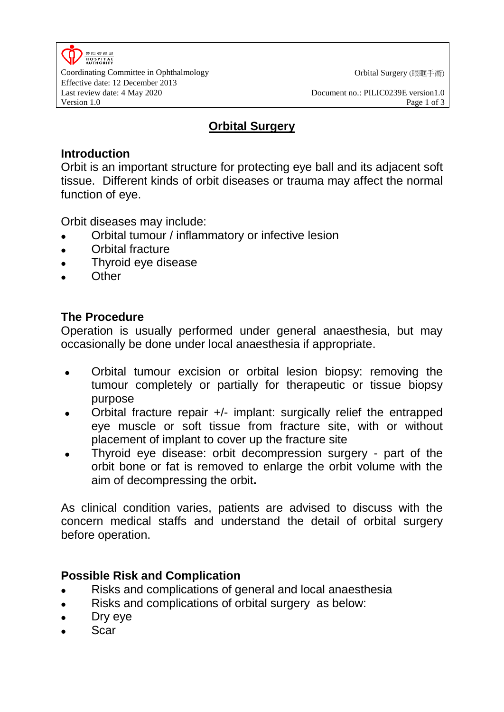

Coordinating Committee in Ophthalmology **Coordination Coordination** Orbital Surgery (眼眶手術) Effective date: 12 December 2013 Last review date: 4 May 2020 Document no.: PILIC0239E version1.0

Version 1.0 Page 1 of 3

### **Orbital Surgery**

## **Introduction**

Orbit is an important structure for protecting eye ball and its adjacent soft tissue. Different kinds of orbit diseases or trauma may affect the normal function of eye.

Orbit diseases may include:

- Orbital tumour / inflammatory or infective lesion
- Orbital fracture
- Thyroid eye disease
- **Other**

# **The Procedure**

Operation is usually performed under general anaesthesia, but may occasionally be done under local anaesthesia if appropriate.

- Orbital tumour excision or orbital lesion biopsy: removing the tumour completely or partially for therapeutic or tissue biopsy purpose
- Orbital fracture repair +/- implant: surgically relief the entrapped eye muscle or soft tissue from fracture site, with or without placement of implant to cover up the fracture site
- Thyroid eye disease: orbit decompression surgery part of the orbit bone or fat is removed to enlarge the orbit volume with the aim of decompressing the orbit**.**

As clinical condition varies, patients are advised to discuss with the concern medical staffs and understand the detail of orbital surgery before operation.

# **Possible Risk and Complication**

- Risks and complications of general and local anaesthesia
- Risks and complications of orbital surgery as below:
- Dry eye
- Scar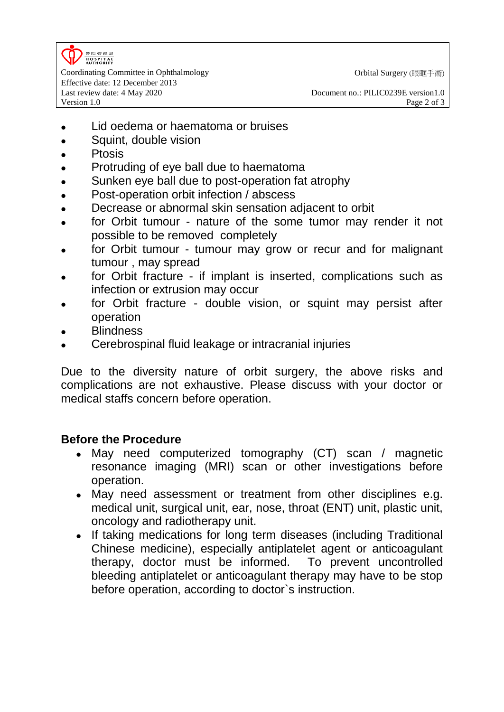

Coordinating Committee in Ophthalmology **Coordination Coordination** Orbital Surgery (眼眶手術) Effective date: 12 December 2013 Last review date: 4 May 2020 Document no.: PILIC0239E version1.0

- Lid oedema or haematoma or bruises
- Squint, double vision
- Ptosis
- Protruding of eye ball due to haematoma
- Sunken eye ball due to post-operation fat atrophy
- Post-operation orbit infection / abscess
- Decrease or abnormal skin sensation adjacent to orbit
- for Orbit tumour nature of the some tumor may render it not possible to be removed completely
- for Orbit tumour tumour may grow or recur and for malignant tumour , may spread
- for Orbit fracture if implant is inserted, complications such as infection or extrusion may occur
- for Orbit fracture double vision, or squint may persist after operation
- **Blindness**
- Cerebrospinal fluid leakage or intracranial injuries

Due to the diversity nature of orbit surgery, the above risks and complications are not exhaustive. Please discuss with your doctor or medical staffs concern before operation.

### **Before the Procedure**

- May need computerized tomography (CT) scan / magnetic resonance imaging (MRI) scan or other investigations before operation.
- May need assessment or treatment from other disciplines e.g. medical unit, surgical unit, ear, nose, throat (ENT) unit, plastic unit, oncology and radiotherapy unit.
- If taking medications for long term diseases (including Traditional Chinese medicine), especially antiplatelet agent or anticoagulant therapy, doctor must be informed. To prevent uncontrolled bleeding antiplatelet or anticoagulant therapy may have to be stop before operation, according to doctor`s instruction.